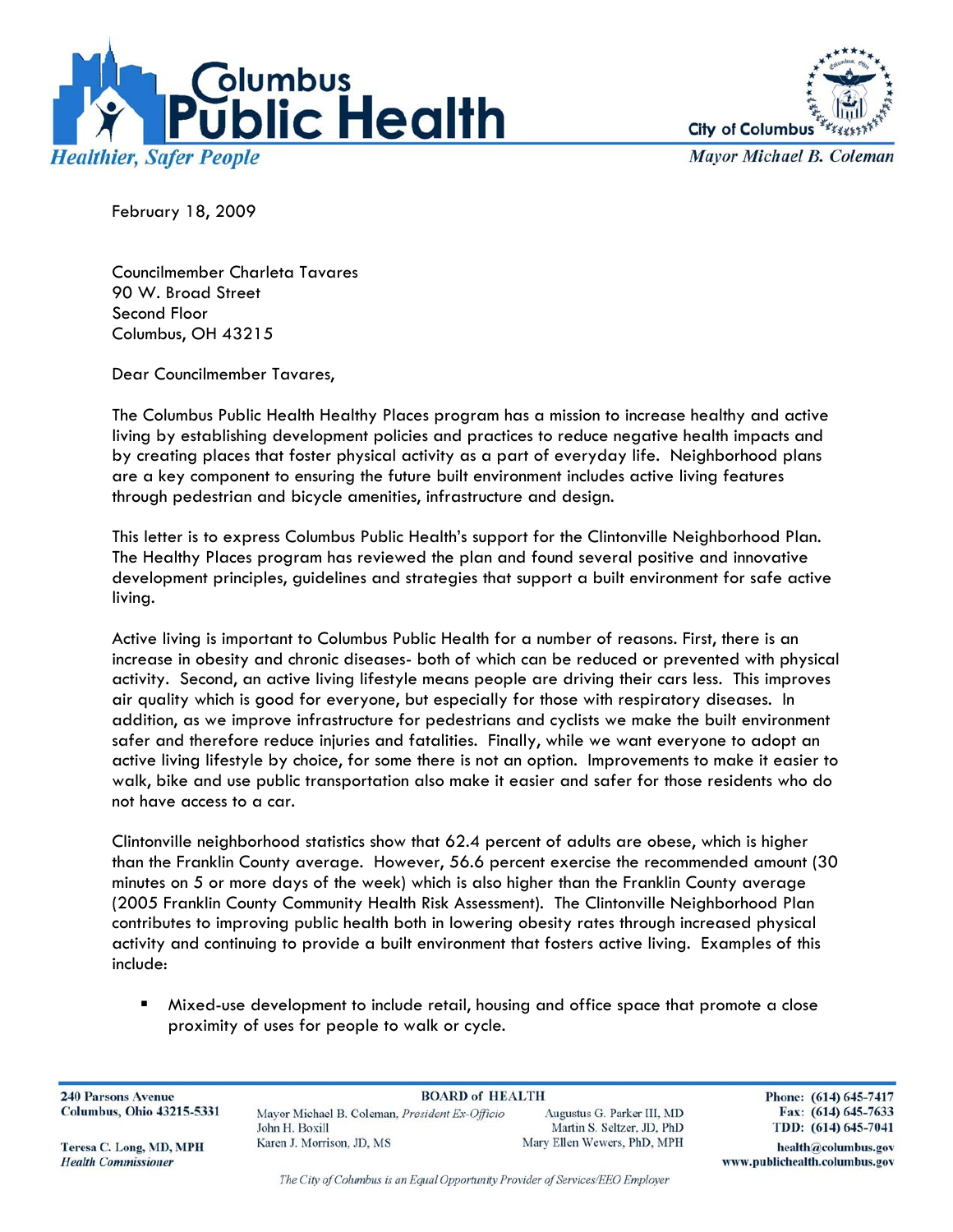



**Mayor Michael B. Coleman** 

February 18, 2009

Councilmember Charleta Tavares 90 W. Broad Street Second Floor Columbus, OH 43215

Dear Councilmember Tavares,

The Columbus Public Health Healthy Places program has a mission to increase healthy and active living by establishing development policies and practices to reduce negative health impacts and by creating places that foster physical activity as a part of everyday life. Neighborhood plans are a key component to ensuring the future built environment includes active living features through pedestrian and bicycle amenities, infrastructure and design.

This letter is to express Columbus Public Health's support for the Clintonville Neighborhood Plan. The Healthy Places program has reviewed the plan and found several positive and innovative development principles, guidelines and strategies that support a built environment for safe active living.

Active living is important to Columbus Public Health for a number of reasons. First, there is an increase in obesity and chronic diseases- both of which can be reduced or prevented with physical activity. Second, an active living lifestyle means people are driving their cars less. This improves air quality which is good for everyone, but especially for those with respiratory diseases. In addition, as we improve infrastructure for pedestrians and cyclists we make the built environment safer and therefore reduce injuries and fatalities. Finally, while we want everyone to adopt an active living lifestyle by choice, for some there is not an option. Improvements to make it easier to walk, bike and use public transportation also make it easier and safer for those residents who do not have access to a car.

Clintonville neighborhood statistics show that 62.4 percent of adults are obese, which is higher than the Franklin County average. However, 56.6 percent exercise the recommended amount (30 minutes on 5 or more days of the week) which is also higher than the Franklin County average (2005 Franklin County Community Health Risk Assessment). The Clintonville Neighborhood Plan contributes to improving public health both in lowering obesity rates through increased physical activity and continuing to provide a built environment that fosters active living. Examples of this include:

 Mixed-use development to include retail, housing and office space that promote a close proximity of uses for people to walk or cycle.

**240 Parsons Avenue Columbus, Ohio 43215-5331** 

**BOARD of HEALTH** Mayor Michael B. Coleman, President Ex-Officio Augustus G. Parker III, MD Martin S. Seltzer, JD, PhD John H. Boxill Karen J. Morrison, JD, MS Mary Ellen Wewers, PhD, MPH Phone: (614) 645-7417 Fax: (614) 645-7633 TDD: (614) 645-7041

www.publichealth.columbus.gov

health@columbus.gov

Teresa C. Long, MD, MPH **Health Commissioner** 

The City of Columbus is an Equal Opportunity Provider of Services/EEO Employer